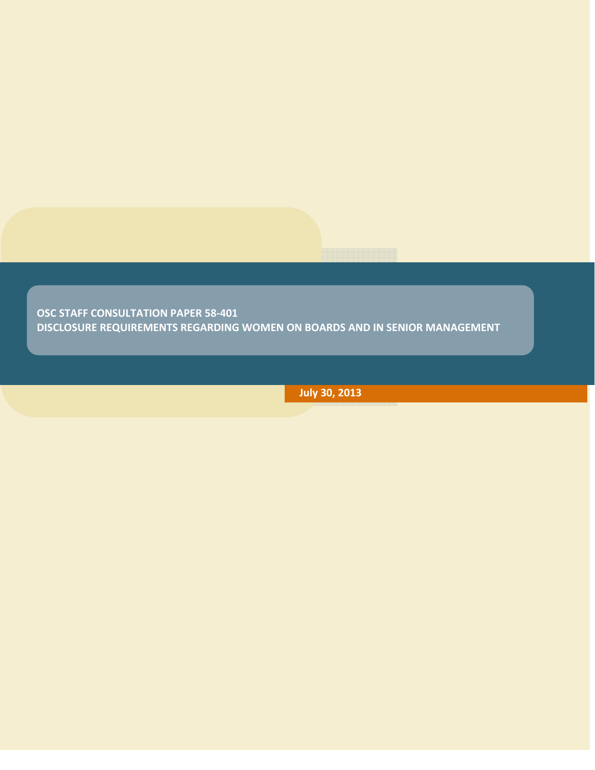**OSC STAFF CONSULTATION PAPER 58‐401 DISCLOSURE REQUIREMENTS REGARDING WOMEN ON BOARDS AND IN SENIOR MANAGEMENT** 

**July 30, 2013**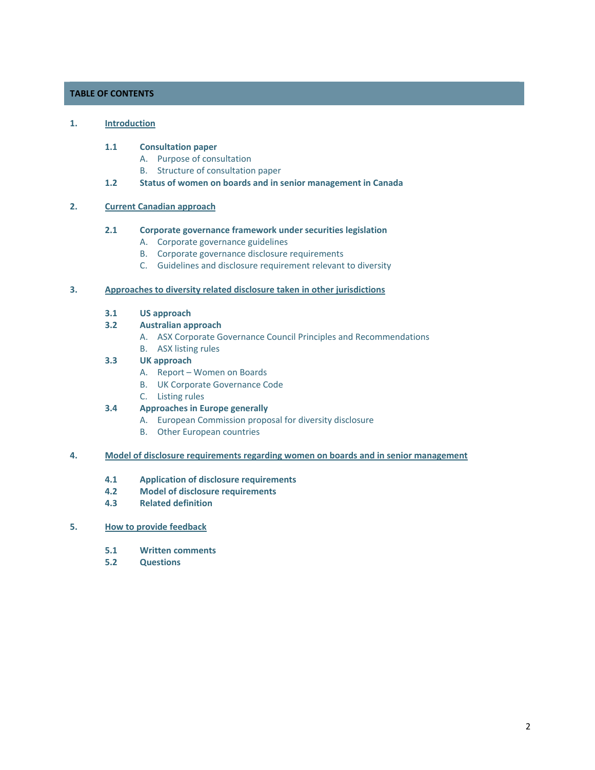# **TABLE OF CONTENTS**

### **1. Introduction**

### **1.1 Consultation paper**

- A. Purpose of consultation
- B. Structure of consultation paper
- **1.2 Status of women on boards and in senior management in Canada**

## **2. Current Canadian approach**

## **2.1 Corporate governance framework under securities legislation**

- A. Corporate governance guidelines
- B. Corporate governance disclosure requirements
- C. Guidelines and disclosure requirement relevant to diversity

## **3. Approaches to diversity related disclosure taken in other jurisdictions**

**3.1 US approach**

## **3.2 Australian approach**

- A. ASX Corporate Governance Council Principles and Recommendations
- B. ASX listing rules

### **3.3 UK approach**

- A. Report Women on Boards
- B. UK Corporate Governance Code
- C. Listing rules

# **3.4 Approaches in Europe generally**

- A. European Commission proposal for diversity disclosure
- B. Other European countries

### **4. Model of disclosure requirements regarding women on boards and in senior management**

- **4.1 Application of disclosure requirements**
- **4.2 Model of disclosure requirements**
- **4.3 Related definition**

## **5. How to provide feedback**

- **5.1 Written comments**
- **5.2 Questions**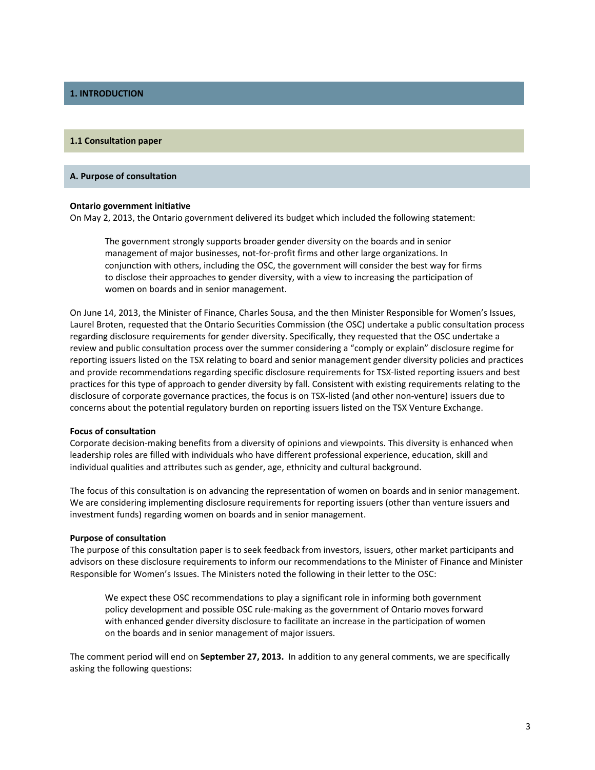## **1. INTRODUCTION**

#### **1.1 Consultation paper**

#### **A. Purpose of consultation**

#### **Ontario government initiative**

On May 2, 2013, the Ontario government delivered its budget which included the following statement:

The government strongly supports broader gender diversity on the boards and in senior management of major businesses, not‐for‐profit firms and other large organizations. In conjunction with others, including the OSC, the government will consider the best way for firms to disclose their approaches to gender diversity, with a view to increasing the participation of women on boards and in senior management.

On June 14, 2013, the Minister of Finance, Charles Sousa, and the then Minister Responsible for Women's Issues, Laurel Broten, requested that the Ontario Securities Commission (the OSC) undertake a public consultation process regarding disclosure requirements for gender diversity. Specifically, they requested that the OSC undertake a review and public consultation process over the summer considering a "comply or explain" disclosure regime for reporting issuers listed on the TSX relating to board and senior management gender diversity policies and practices and provide recommendations regarding specific disclosure requirements for TSX‐listed reporting issuers and best practices for this type of approach to gender diversity by fall. Consistent with existing requirements relating to the disclosure of corporate governance practices, the focus is on TSX‐listed (and other non‐venture) issuers due to concerns about the potential regulatory burden on reporting issuers listed on the TSX Venture Exchange.

#### **Focus of consultation**

Corporate decision‐making benefits from a diversity of opinions and viewpoints. This diversity is enhanced when leadership roles are filled with individuals who have different professional experience, education, skill and individual qualities and attributes such as gender, age, ethnicity and cultural background.

The focus of this consultation is on advancing the representation of women on boards and in senior management. We are considering implementing disclosure requirements for reporting issuers (other than venture issuers and investment funds) regarding women on boards and in senior management.

#### **Purpose of consultation**

The purpose of this consultation paper is to seek feedback from investors, issuers, other market participants and advisors on these disclosure requirements to inform our recommendations to the Minister of Finance and Minister Responsible for Women's Issues. The Ministers noted the following in their letter to the OSC:

We expect these OSC recommendations to play a significant role in informing both government policy development and possible OSC rule‐making as the government of Ontario moves forward with enhanced gender diversity disclosure to facilitate an increase in the participation of women on the boards and in senior management of major issuers.

The comment period will end on **September 27, 2013.** In addition to any general comments, we are specifically asking the following questions: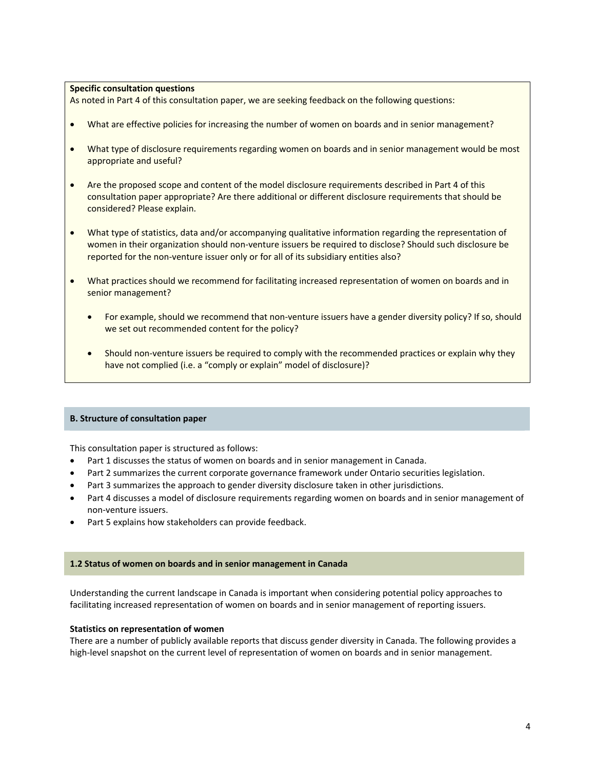### **Specific consultation questions**

As noted in Part 4 of this consultation paper, we are seeking feedback on the following questions:

- What are effective policies for increasing the number of women on boards and in senior management?
- What type of disclosure requirements regarding women on boards and in senior management would be most appropriate and useful?
- Are the proposed scope and content of the model disclosure requirements described in Part 4 of this consultation paper appropriate? Are there additional or different disclosure requirements that should be considered? Please explain.
- What type of statistics, data and/or accompanying qualitative information regarding the representation of women in their organization should non-venture issuers be required to disclose? Should such disclosure be reported for the non-venture issuer only or for all of its subsidiary entities also?
- What practices should we recommend for facilitating increased representation of women on boards and in senior management?
	- For example, should we recommend that non-venture issuers have a gender diversity policy? If so, should we set out recommended content for the policy?
	- Should non-venture issuers be required to comply with the recommended practices or explain why they have not complied (i.e. a "comply or explain" model of disclosure)?

#### **B. Structure of consultation paper**

This consultation paper is structured as follows:

- Part 1 discusses the status of women on boards and in senior management in Canada.
- Part 2 summarizes the current corporate governance framework under Ontario securities legislation.
- Part 3 summarizes the approach to gender diversity disclosure taken in other jurisdictions.
- Part 4 discusses a model of disclosure requirements regarding women on boards and in senior management of non‐venture issuers.
- Part 5 explains how stakeholders can provide feedback.

#### **1.2 Status of women on boards and in senior management in Canada**

Understanding the current landscape in Canada is important when considering potential policy approaches to facilitating increased representation of women on boards and in senior management of reporting issuers.

#### **Statistics on representation of women**

There are a number of publicly available reports that discuss gender diversity in Canada. The following provides a high-level snapshot on the current level of representation of women on boards and in senior management.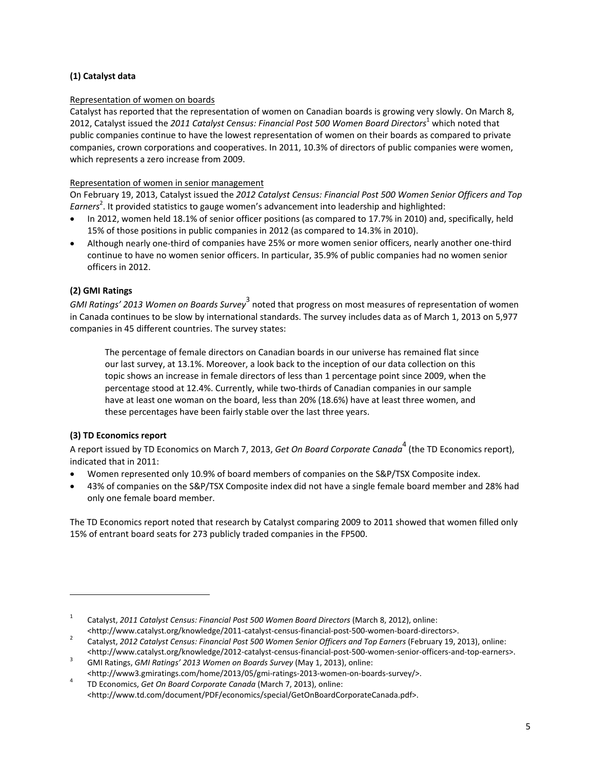# **(1) Catalyst data**

# Representation of women on boards

Catalyst has reported that the representation of women on Canadian boards is growing very slowly. On March 8, 2012, Catalyst issued the *2011 Catalyst Census: Financial Post 500 Women Board Directors*<sup>1</sup> which noted that public companies continue to have the lowest representation of women on their boards as compared to private companies, crown corporations and cooperatives. In 2011, 10.3% of directors of public companies were women, which represents a zero increase from 2009.

## Representation of women in senior management

On February 19, 2013, Catalyst issued the *2012 Catalyst Census: Financial Post 500 Women Senior Officers and Top* Earners<sup>2</sup>. It provided statistics to gauge women's advancement into leadership and highlighted:

- In 2012, women held 18.1% of senior officer positions (as compared to 17.7% in 2010) and, specifically, held 15% of those positions in public companies in 2012 (as compared to 14.3% in 2010).
- Although nearly one‐third of companies have 25% or more women senior officers, nearly another one‐third continue to have no women senior officers. In particular, 35.9% of public companies had no women senior officers in 2012.

# **(2) GMI Ratings**

*GMI Ratings' 2013 Women on Boards Survey*<sup>3</sup> noted that progress on most measures of representation of women in Canada continues to be slow by international standards. The survey includes data as of March 1, 2013 on 5,977 companies in 45 different countries. The survey states:

The percentage of female directors on Canadian boards in our universe has remained flat since our last survey, at 13.1%. Moreover, a look back to the inception of our data collection on this topic shows an increase in female directors of less than 1 percentage point since 2009, when the percentage stood at 12.4%. Currently, while two‐thirds of Canadian companies in our sample have at least one woman on the board, less than 20% (18.6%) have at least three women, and these percentages have been fairly stable over the last three years.

# **(3) TD Economics report**

A report issued by TD Economics on March 7, 2013, *Get On Board Corporate Canada*<sup>4</sup> (the TD Economics report), indicated that in 2011:

- Women represented only 10.9% of board members of companies on the S&P/TSX Composite index.
- 43% of companies on the S&P/TSX Composite index did not have a single female board member and 28% had only one female board member.

The TD Economics report noted that research by Catalyst comparing 2009 to 2011 showed that women filled only 15% of entrant board seats for 273 publicly traded companies in the FP500.

<sup>1</sup> Catalyst, *2011 Catalyst Census: Financial Post 500 Women Board Directors* (March 8, 2012), online: <http://www.catalyst.org/knowledge/2011‐catalyst‐census‐financial‐post‐500‐women‐board‐directors>. <sup>2</sup>

 Catalyst, *2012 Catalyst Census: Financial Post 500 Women Senior Officers and Top Earners* (February 19, 2013), online: <http://www.catalyst.org/knowledge/2012‐catalyst‐census‐financial‐post‐500‐women‐senior‐officers‐and‐top‐earners>.

 GMI Ratings, *GMI Ratings' 2013 Women on Boards Survey* (May 1, 2013), online: <http://www3.gmiratings.com/home/2013/05/gmi‐ratings‐2013‐women‐on‐boards‐survey/>. <sup>4</sup>

 TD Economics, *Get On Board Corporate Canada* (March 7, 2013), online: <http://www.td.com/document/PDF/economics/special/GetOnBoardCorporateCanada.pdf>.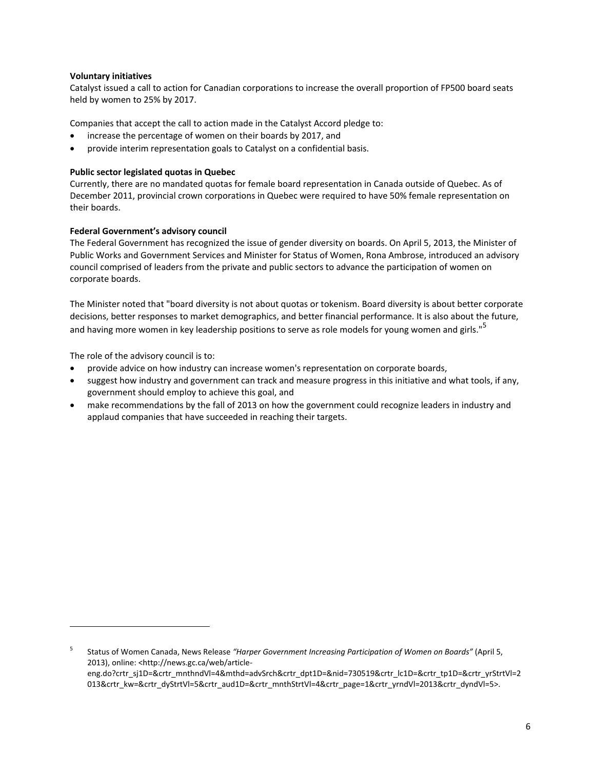### **Voluntary initiatives**

Catalyst issued a call to action for Canadian corporations to increase the overall proportion of FP500 board seats held by women to 25% by 2017.

Companies that accept the call to action made in the Catalyst Accord pledge to:

- increase the percentage of women on their boards by 2017, and
- provide interim representation goals to Catalyst on a confidential basis.

### **Public sector legislated quotas in Quebec**

Currently, there are no mandated quotas for female board representation in Canada outside of Quebec. As of December 2011, provincial crown corporations in Quebec were required to have 50% female representation on their boards.

### **Federal Government's advisory council**

The Federal Government has recognized the issue of gender diversity on boards. On April 5, 2013, the Minister of Public Works and Government Services and Minister for Status of Women, Rona Ambrose, introduced an advisory council comprised of leaders from the private and public sectors to advance the participation of women on corporate boards.

The Minister noted that "board diversity is not about quotas or tokenism. Board diversity is about better corporate decisions, better responses to market demographics, and better financial performance. It is also about the future, and having more women in key leadership positions to serve as role models for young women and girls."<sup>5</sup>

The role of the advisory council is to:

- provide advice on how industry can increase women's representation on corporate boards,
- suggest how industry and government can track and measure progress in this initiative and what tools, if any, government should employ to achieve this goal, and
- make recommendations by the fall of 2013 on how the government could recognize leaders in industry and applaud companies that have succeeded in reaching their targets.

<sup>5</sup> Status of Women Canada, News Release *"Harper Government Increasing Participation of Women on Boards"* (April 5, 2013), online: <http://news.gc.ca/web/article‐ eng.do?crtr\_sj1D=&crtr\_mnthndVl=4&mthd=advSrch&crtr\_dpt1D=&nid=730519&crtr\_lc1D=&crtr\_tp1D=&crtr\_yrStrtVl=2 013&crtr\_kw=&crtr\_dyStrtVl=5&crtr\_aud1D=&crtr\_mnthStrtVl=4&crtr\_page=1&crtr\_yrndVl=2013&crtr\_dyndVl=5>.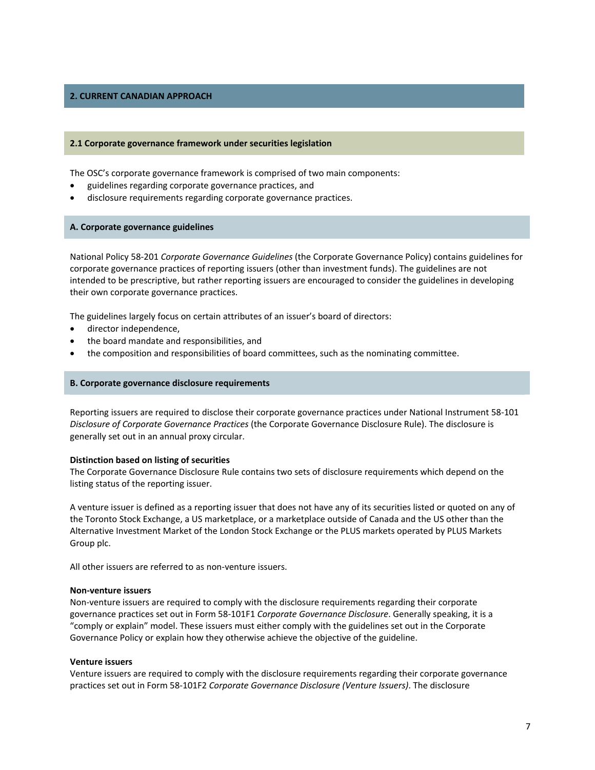## **2. CURRENT CANADIAN APPROACH**

#### **2.1 Corporate governance framework under securities legislation**

The OSC's corporate governance framework is comprised of two main components:

- guidelines regarding corporate governance practices, and
- disclosure requirements regarding corporate governance practices.

#### **A. Corporate governance guidelines**

National Policy 58‐201 *Corporate Governance Guidelines* (the Corporate Governance Policy) contains guidelines for corporate governance practices of reporting issuers (other than investment funds). The guidelines are not intended to be prescriptive, but rather reporting issuers are encouraged to consider the guidelines in developing their own corporate governance practices.

The guidelines largely focus on certain attributes of an issuer's board of directors:

- director independence,
- the board mandate and responsibilities, and
- the composition and responsibilities of board committees, such as the nominating committee.

#### **B. Corporate governance disclosure requirements**

Reporting issuers are required to disclose their corporate governance practices under National Instrument 58‐101 *Disclosure of Corporate Governance Practices* (the Corporate Governance Disclosure Rule). The disclosure is generally set out in an annual proxy circular.

### **Distinction based on listing of securities**

The Corporate Governance Disclosure Rule contains two sets of disclosure requirements which depend on the listing status of the reporting issuer.

A venture issuer is defined as a reporting issuer that does not have any of its securities listed or quoted on any of the Toronto Stock Exchange, a US marketplace, or a marketplace outside of Canada and the US other than the Alternative Investment Market of the London Stock Exchange or the PLUS markets operated by PLUS Markets Group plc.

All other issuers are referred to as non‐venture issuers.

#### **Non‐venture issuers**

Non‐venture issuers are required to comply with the disclosure requirements regarding their corporate governance practices set out in Form 58‐101F1 *Corporate Governance Disclosure*. Generally speaking, it is a "comply or explain" model. These issuers must either comply with the guidelines set out in the Corporate Governance Policy or explain how they otherwise achieve the objective of the guideline.

#### **Venture issuers**

Venture issuers are required to comply with the disclosure requirements regarding their corporate governance practices set out in Form 58‐101F2 *Corporate Governance Disclosure (Venture Issuers)*. The disclosure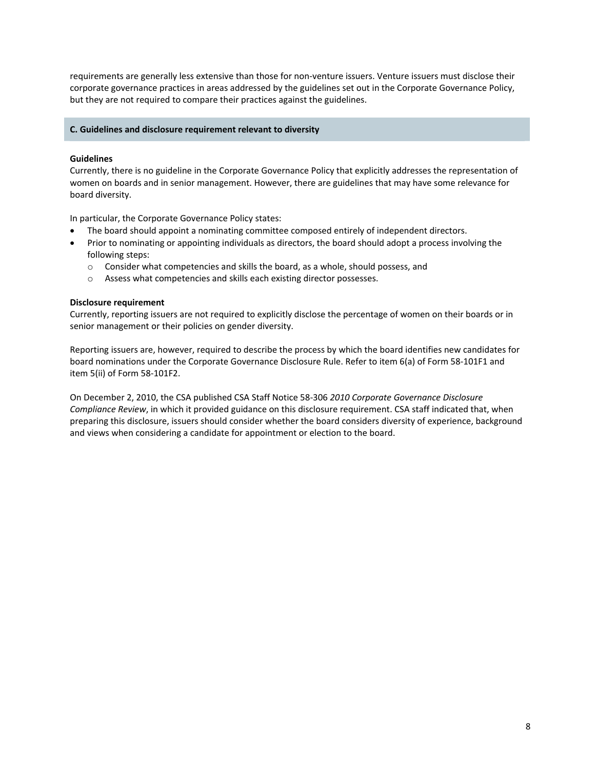requirements are generally less extensive than those for non‐venture issuers. Venture issuers must disclose their corporate governance practices in areas addressed by the guidelines set out in the Corporate Governance Policy, but they are not required to compare their practices against the guidelines.

### **C. Guidelines and disclosure requirement relevant to diversity**

### **Guidelines**

Currently, there is no guideline in the Corporate Governance Policy that explicitly addresses the representation of women on boards and in senior management. However, there are guidelines that may have some relevance for board diversity.

In particular, the Corporate Governance Policy states:

- The board should appoint a nominating committee composed entirely of independent directors.
- Prior to nominating or appointing individuals as directors, the board should adopt a process involving the following steps:
	- o Consider what competencies and skills the board, as a whole, should possess, and
	- o Assess what competencies and skills each existing director possesses.

### **Disclosure requirement**

Currently, reporting issuers are not required to explicitly disclose the percentage of women on their boards or in senior management or their policies on gender diversity.

Reporting issuers are, however, required to describe the process by which the board identifies new candidates for board nominations under the Corporate Governance Disclosure Rule. Refer to item 6(a) of Form 58‐101F1 and item 5(ii) of Form 58‐101F2.

On December 2, 2010, the CSA published CSA Staff Notice 58‐306 *2010 Corporate Governance Disclosure Compliance Review*, in which it provided guidance on this disclosure requirement. CSA staff indicated that, when preparing this disclosure, issuers should consider whether the board considers diversity of experience, background and views when considering a candidate for appointment or election to the board.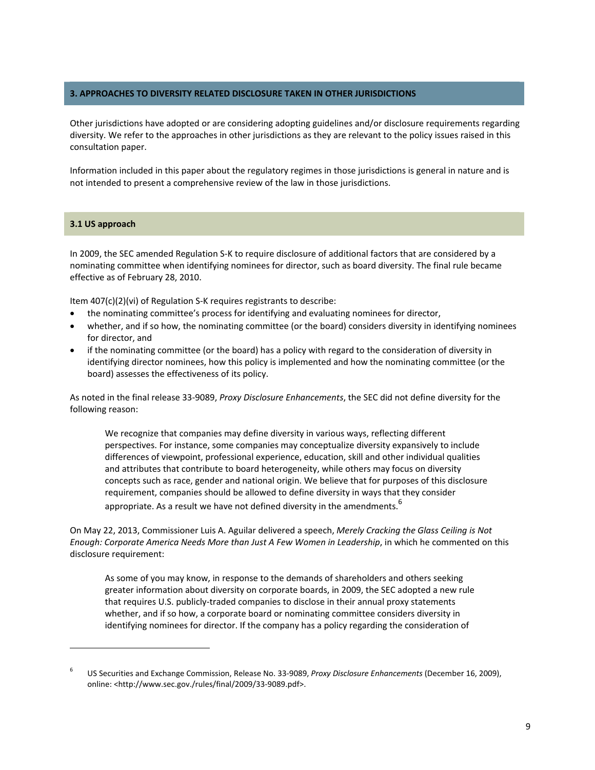## **3. APPROACHES TO DIVERSITY RELATED DISCLOSURE TAKEN IN OTHER JURISDICTIONS**

Other jurisdictions have adopted or are considering adopting guidelines and/or disclosure requirements regarding diversity. We refer to the approaches in other jurisdictions as they are relevant to the policy issues raised in this consultation paper.

Information included in this paper about the regulatory regimes in those jurisdictions is general in nature and is not intended to present a comprehensive review of the law in those jurisdictions.

### **3.1 US approach**

In 2009, the SEC amended Regulation S‐K to require disclosure of additional factors that are considered by a nominating committee when identifying nominees for director, such as board diversity. The final rule became effective as of February 28, 2010.

Item 407(c)(2)(vi) of Regulation S‐K requires registrants to describe:

- the nominating committee's process for identifying and evaluating nominees for director,
- whether, and if so how, the nominating committee (or the board) considers diversity in identifying nominees for director, and
- if the nominating committee (or the board) has a policy with regard to the consideration of diversity in identifying director nominees, how this policy is implemented and how the nominating committee (or the board) assesses the effectiveness of its policy.

As noted in the final release 33‐9089, *Proxy Disclosure Enhancements*, the SEC did not define diversity for the following reason:

We recognize that companies may define diversity in various ways, reflecting different perspectives. For instance, some companies may conceptualize diversity expansively to include differences of viewpoint, professional experience, education, skill and other individual qualities and attributes that contribute to board heterogeneity, while others may focus on diversity concepts such as race, gender and national origin. We believe that for purposes of this disclosure requirement, companies should be allowed to define diversity in ways that they consider appropriate. As a result we have not defined diversity in the amendments.<sup>6</sup>

On May 22, 2013, Commissioner Luis A. Aguilar delivered a speech, *Merely Cracking the Glass Ceiling is Not Enough: Corporate America Needs More than Just A Few Women in Leadership*, in which he commented on this disclosure requirement:

As some of you may know, in response to the demands of shareholders and others seeking greater information about diversity on corporate boards, in 2009, the SEC adopted a new rule that requires U.S. publicly‐traded companies to disclose in their annual proxy statements whether, and if so how, a corporate board or nominating committee considers diversity in identifying nominees for director. If the company has a policy regarding the consideration of

<sup>6</sup> US Securities and Exchange Commission, Release No. 33‐9089, *Proxy Disclosure Enhancements* (December 16, 2009), online: <http://www.sec.gov./rules/final/2009/33‐9089.pdf>.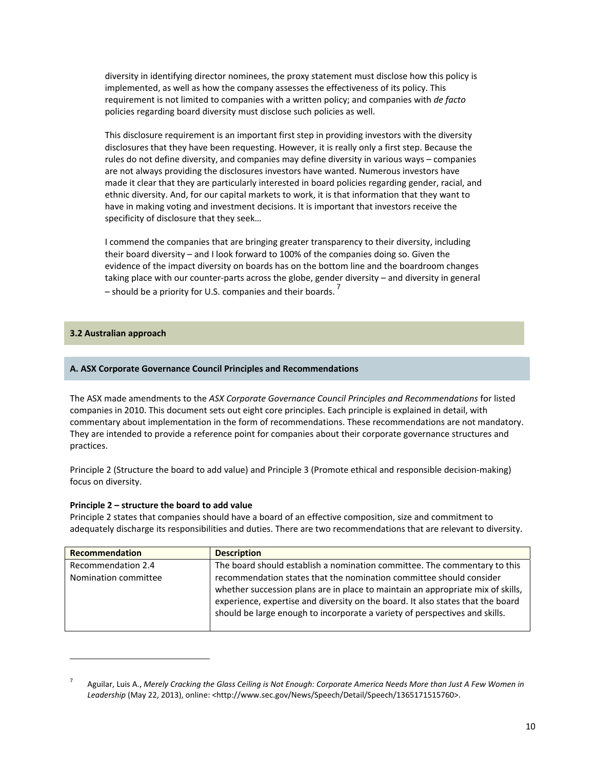diversity in identifying director nominees, the proxy statement must disclose how this policy is implemented, as well as how the company assesses the effectiveness of its policy. This requirement is not limited to companies with a written policy; and companies with *de facto* policies regarding board diversity must disclose such policies as well.

This disclosure requirement is an important first step in providing investors with the diversity disclosures that they have been requesting. However, it is really only a first step. Because the rules do not define diversity, and companies may define diversity in various ways – companies are not always providing the disclosures investors have wanted. Numerous investors have made it clear that they are particularly interested in board policies regarding gender, racial, and ethnic diversity. And, for our capital markets to work, it is that information that they want to have in making voting and investment decisions. It is important that investors receive the specificity of disclosure that they seek…

I commend the companies that are bringing greater transparency to their diversity, including their board diversity – and I look forward to 100% of the companies doing so. Given the evidence of the impact diversity on boards has on the bottom line and the boardroom changes taking place with our counter‐parts across the globe, gender diversity – and diversity in general – should be a priority for U.S. companies and their boards.  $^7$ 

## **3.2 Australian approach**

## **A. ASX Corporate Governance Council Principles and Recommendations**

The ASX made amendments to the *ASX Corporate Governance Council Principles and Recommendations* for listed companies in 2010. This document sets out eight core principles. Each principle is explained in detail, with commentary about implementation in the form of recommendations. These recommendations are not mandatory. They are intended to provide a reference point for companies about their corporate governance structures and practices.

Principle 2 (Structure the board to add value) and Principle 3 (Promote ethical and responsible decision‐making) focus on diversity.

## **Principle 2 – structure the board to add value**

Principle 2 states that companies should have a board of an effective composition, size and commitment to adequately discharge its responsibilities and duties. There are two recommendations that are relevant to diversity.

| Recommendation       | <b>Description</b>                                                              |
|----------------------|---------------------------------------------------------------------------------|
| Recommendation 2.4   | The board should establish a nomination committee. The commentary to this       |
| Nomination committee | recommendation states that the nomination committee should consider             |
|                      | whether succession plans are in place to maintain an appropriate mix of skills, |
|                      | experience, expertise and diversity on the board. It also states that the board |
|                      | should be large enough to incorporate a variety of perspectives and skills.     |
|                      |                                                                                 |

<sup>7</sup> Aguilar, Luis A., Merely Cracking the Glass Ceiling is Not Enough: Corporate America Needs More than Just A Few Women in Leadership (May 22, 2013), online: <http://www.sec.gov/News/Speech/Detail/Speech/1365171515760>.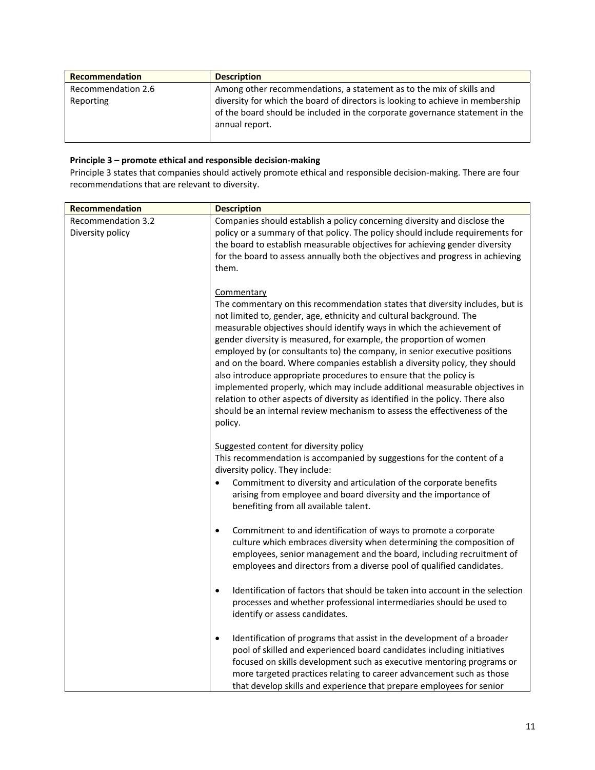| Recommendation     | <b>Description</b>                                                                                                                                                               |
|--------------------|----------------------------------------------------------------------------------------------------------------------------------------------------------------------------------|
| Recommendation 2.6 | Among other recommendations, a statement as to the mix of skills and                                                                                                             |
| Reporting          | diversity for which the board of directors is looking to achieve in membership<br>of the board should be included in the corporate governance statement in the<br>annual report. |

# **Principle 3 – promote ethical and responsible decision‐making**

Principle 3 states that companies should actively promote ethical and responsible decision‐making. There are four recommendations that are relevant to diversity.

| Recommendation                                | <b>Description</b>                                                                                                                                                                                                                                                                                                                                                                                                                                                                                                                                                                                                                                                                                                                                                                                            |
|-----------------------------------------------|---------------------------------------------------------------------------------------------------------------------------------------------------------------------------------------------------------------------------------------------------------------------------------------------------------------------------------------------------------------------------------------------------------------------------------------------------------------------------------------------------------------------------------------------------------------------------------------------------------------------------------------------------------------------------------------------------------------------------------------------------------------------------------------------------------------|
| <b>Recommendation 3.2</b><br>Diversity policy | Companies should establish a policy concerning diversity and disclose the<br>policy or a summary of that policy. The policy should include requirements for<br>the board to establish measurable objectives for achieving gender diversity<br>for the board to assess annually both the objectives and progress in achieving<br>them.                                                                                                                                                                                                                                                                                                                                                                                                                                                                         |
|                                               | Commentary<br>The commentary on this recommendation states that diversity includes, but is<br>not limited to, gender, age, ethnicity and cultural background. The<br>measurable objectives should identify ways in which the achievement of<br>gender diversity is measured, for example, the proportion of women<br>employed by (or consultants to) the company, in senior executive positions<br>and on the board. Where companies establish a diversity policy, they should<br>also introduce appropriate procedures to ensure that the policy is<br>implemented properly, which may include additional measurable objectives in<br>relation to other aspects of diversity as identified in the policy. There also<br>should be an internal review mechanism to assess the effectiveness of the<br>policy. |
|                                               | Suggested content for diversity policy<br>This recommendation is accompanied by suggestions for the content of a<br>diversity policy. They include:<br>Commitment to diversity and articulation of the corporate benefits<br>arising from employee and board diversity and the importance of<br>benefiting from all available talent.                                                                                                                                                                                                                                                                                                                                                                                                                                                                         |
|                                               | Commitment to and identification of ways to promote a corporate<br>$\bullet$<br>culture which embraces diversity when determining the composition of<br>employees, senior management and the board, including recruitment of<br>employees and directors from a diverse pool of qualified candidates.                                                                                                                                                                                                                                                                                                                                                                                                                                                                                                          |
|                                               | Identification of factors that should be taken into account in the selection<br>$\bullet$<br>processes and whether professional intermediaries should be used to<br>identify or assess candidates.                                                                                                                                                                                                                                                                                                                                                                                                                                                                                                                                                                                                            |
|                                               | Identification of programs that assist in the development of a broader<br>$\bullet$<br>pool of skilled and experienced board candidates including initiatives<br>focused on skills development such as executive mentoring programs or<br>more targeted practices relating to career advancement such as those<br>that develop skills and experience that prepare employees for senior                                                                                                                                                                                                                                                                                                                                                                                                                        |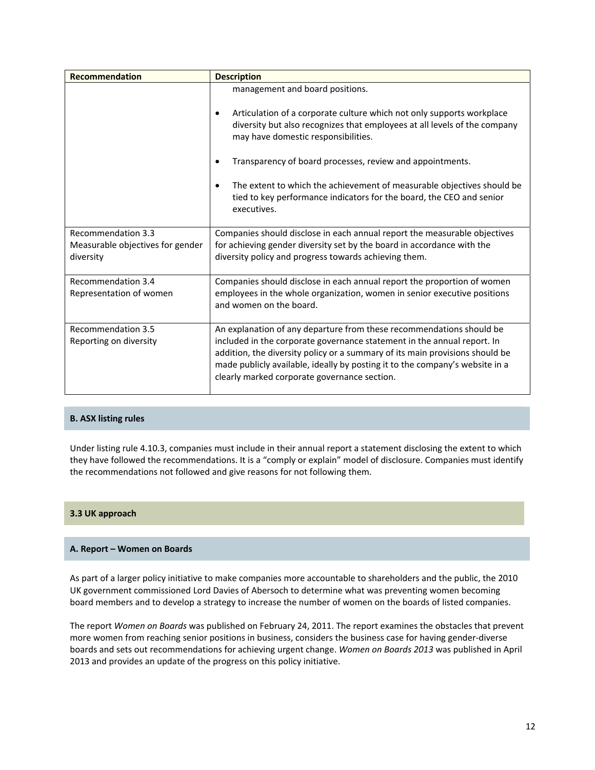| Recommendation                                | <b>Description</b>                                                                                                                                                                                                                                                                                                                                              |
|-----------------------------------------------|-----------------------------------------------------------------------------------------------------------------------------------------------------------------------------------------------------------------------------------------------------------------------------------------------------------------------------------------------------------------|
|                                               | management and board positions.<br>Articulation of a corporate culture which not only supports workplace<br>$\bullet$<br>diversity but also recognizes that employees at all levels of the company<br>may have domestic responsibilities.                                                                                                                       |
|                                               | Transparency of board processes, review and appointments.<br>$\bullet$                                                                                                                                                                                                                                                                                          |
|                                               | The extent to which the achievement of measurable objectives should be<br>$\bullet$<br>tied to key performance indicators for the board, the CEO and senior<br>executives.                                                                                                                                                                                      |
| Recommendation 3.3                            | Companies should disclose in each annual report the measurable objectives                                                                                                                                                                                                                                                                                       |
| Measurable objectives for gender<br>diversity | for achieving gender diversity set by the board in accordance with the<br>diversity policy and progress towards achieving them.                                                                                                                                                                                                                                 |
| Recommendation 3.4<br>Representation of women | Companies should disclose in each annual report the proportion of women<br>employees in the whole organization, women in senior executive positions<br>and women on the board.                                                                                                                                                                                  |
| Recommendation 3.5<br>Reporting on diversity  | An explanation of any departure from these recommendations should be<br>included in the corporate governance statement in the annual report. In<br>addition, the diversity policy or a summary of its main provisions should be<br>made publicly available, ideally by posting it to the company's website in a<br>clearly marked corporate governance section. |

## **B. ASX listing rules**

Under listing rule 4.10.3, companies must include in their annual report a statement disclosing the extent to which they have followed the recommendations. It is a "comply or explain" model of disclosure. Companies must identify the recommendations not followed and give reasons for not following them.

## **3.3 UK approach**

## **A. Report – Women on Boards**

As part of a larger policy initiative to make companies more accountable to shareholders and the public, the 2010 UK government commissioned Lord Davies of Abersoch to determine what was preventing women becoming board members and to develop a strategy to increase the number of women on the boards of listed companies.

The report *Women on Boards* was published on February 24, 2011. The report examines the obstacles that prevent more women from reaching senior positions in business, considers the business case for having gender‐diverse boards and sets out recommendations for achieving urgent change. *Women on Boards 2013* was published in April 2013 and provides an update of the progress on this policy initiative.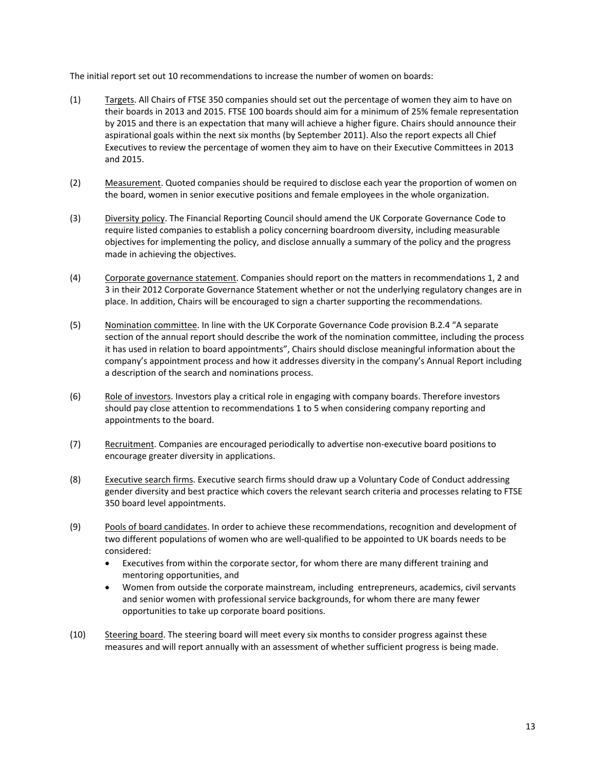The initial report set out 10 recommendations to increase the number of women on boards:

- (1) Targets. All Chairs of FTSE 350 companies should set out the percentage of women they aim to have on their boards in 2013 and 2015. FTSE 100 boards should aim for a minimum of 25% female representation by 2015 and there is an expectation that many will achieve a higher figure. Chairs should announce their aspirational goals within the next six months (by September 2011). Also the report expects all Chief Executives to review the percentage of women they aim to have on their Executive Committees in 2013 and 2015.
- (2) Measurement. Quoted companies should be required to disclose each year the proportion of women on the board, women in senior executive positions and female employees in the whole organization.
- (3) Diversity policy. The Financial Reporting Council should amend the UK Corporate Governance Code to require listed companies to establish a policy concerning boardroom diversity, including measurable objectives for implementing the policy, and disclose annually a summary of the policy and the progress made in achieving the objectives.
- (4) Corporate governance statement. Companies should report on the matters in recommendations 1, 2 and 3 in their 2012 Corporate Governance Statement whether or not the underlying regulatory changes are in place. In addition, Chairs will be encouraged to sign a charter supporting the recommendations.
- (5) Nomination committee. In line with the UK Corporate Governance Code provision B.2.4 "A separate section of the annual report should describe the work of the nomination committee, including the process it has used in relation to board appointments", Chairs should disclose meaningful information about the company's appointment process and how it addresses diversity in the company's Annual Report including a description of the search and nominations process.
- (6) Role of investors. Investors play a critical role in engaging with company boards. Therefore investors should pay close attention to recommendations 1 to 5 when considering company reporting and appointments to the board.
- (7) Recruitment. Companies are encouraged periodically to advertise non-executive board positions to encourage greater diversity in applications.
- (8) Executive search firms. Executive search firms should draw up a Voluntary Code of Conduct addressing gender diversity and best practice which covers the relevant search criteria and processes relating to FTSE 350 board level appointments.
- (9) Pools of board candidates. In order to achieve these recommendations, recognition and development of two different populations of women who are well‐qualified to be appointed to UK boards needs to be considered:
	- Executives from within the corporate sector, for whom there are many different training and mentoring opportunities, and
	- Women from outside the corporate mainstream, including entrepreneurs, academics, civil servants and senior women with professional service backgrounds, for whom there are many fewer opportunities to take up corporate board positions.
- (10) Steering board. The steering board will meet every six months to consider progress against these measures and will report annually with an assessment of whether sufficient progress is being made.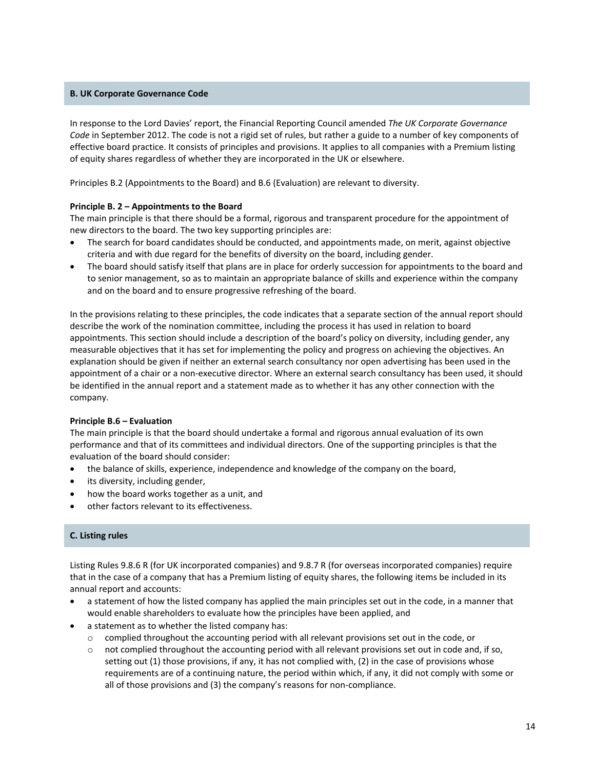## **B. UK Corporate Governance Code**

In response to the Lord Davies' report, the Financial Reporting Council amended *The UK Corporate Governance Code* in September 2012. The code is not a rigid set of rules, but rather a guide to a number of key components of effective board practice. It consists of principles and provisions. It applies to all companies with a Premium listing of equity shares regardless of whether they are incorporated in the UK or elsewhere.

Principles B.2 (Appointments to the Board) and B.6 (Evaluation) are relevant to diversity.

### **Principle B. 2 – Appointments to the Board**

The main principle is that there should be a formal, rigorous and transparent procedure for the appointment of new directors to the board. The two key supporting principles are:

- The search for board candidates should be conducted, and appointments made, on merit, against objective criteria and with due regard for the benefits of diversity on the board, including gender.
- The board should satisfy itself that plans are in place for orderly succession for appointments to the board and to senior management, so as to maintain an appropriate balance of skills and experience within the company and on the board and to ensure progressive refreshing of the board.

In the provisions relating to these principles, the code indicates that a separate section of the annual report should describe the work of the nomination committee, including the process it has used in relation to board appointments. This section should include a description of the board's policy on diversity, including gender, any measurable objectives that it has set for implementing the policy and progress on achieving the objectives. An explanation should be given if neither an external search consultancy nor open advertising has been used in the appointment of a chair or a non‐executive director. Where an external search consultancy has been used, it should be identified in the annual report and a statement made as to whether it has any other connection with the company.

#### **Principle B.6 – Evaluation**

The main principle is that the board should undertake a formal and rigorous annual evaluation of its own performance and that of its committees and individual directors. One of the supporting principles is that the evaluation of the board should consider:

- the balance of skills, experience, independence and knowledge of the company on the board,
- its diversity, including gender,
- how the board works together as a unit, and
- other factors relevant to its effectiveness.

## **C. Listing rules**

Listing Rules 9.8.6 R (for UK incorporated companies) and 9.8.7 R (for overseas incorporated companies) require that in the case of a company that has a Premium listing of equity shares, the following items be included in its annual report and accounts:

- a statement of how the listed company has applied the main principles set out in the code, in a manner that would enable shareholders to evaluate how the principles have been applied, and
- a statement as to whether the listed company has:
	- o complied throughout the accounting period with all relevant provisions set out in the code, or
	- $\circ$  not complied throughout the accounting period with all relevant provisions set out in code and, if so, setting out (1) those provisions, if any, it has not complied with, (2) in the case of provisions whose requirements are of a continuing nature, the period within which, if any, it did not comply with some or all of those provisions and (3) the company's reasons for non‐compliance.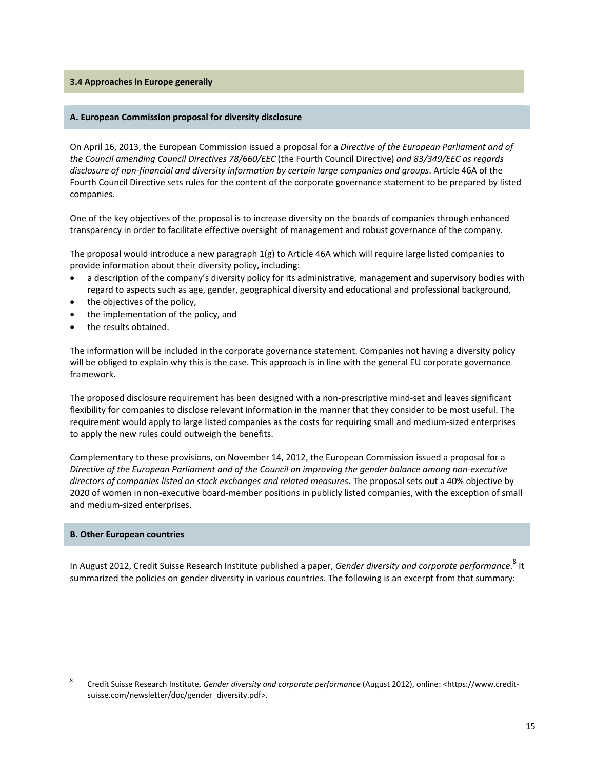#### **3.4 Approaches in Europe generally**

#### **A. European Commission proposal for diversity disclosure**

On April 16, 2013, the European Commission issued a proposal for a *Directive of the European Parliament and of the Council amending Council Directives 78/660/EEC* (the Fourth Council Directive) *and 83/349/EEC as regards disclosure of non‐financial and diversity information by certain large companies and groups*. Article 46A of the Fourth Council Directive sets rules for the content of the corporate governance statement to be prepared by listed companies.

One of the key objectives of the proposal is to increase diversity on the boards of companies through enhanced transparency in order to facilitate effective oversight of management and robust governance of the company.

The proposal would introduce a new paragraph  $1(g)$  to Article 46A which will require large listed companies to provide information about their diversity policy, including:

- a description of the company's diversity policy for its administrative, management and supervisory bodies with regard to aspects such as age, gender, geographical diversity and educational and professional background,
- the objectives of the policy,
- the implementation of the policy, and
- the results obtained.

The information will be included in the corporate governance statement. Companies not having a diversity policy will be obliged to explain why this is the case. This approach is in line with the general EU corporate governance framework.

The proposed disclosure requirement has been designed with a non‐prescriptive mind‐set and leaves significant flexibility for companies to disclose relevant information in the manner that they consider to be most useful. The requirement would apply to large listed companies as the costs for requiring small and medium‐sized enterprises to apply the new rules could outweigh the benefits.

Complementary to these provisions, on November 14, 2012, the European Commission issued a proposal for a Directive of the European Parliament and of the Council on improving the gender balance among non-executive *directors of companies listed on stock exchanges and related measures*. The proposal sets out a 40% objective by 2020 of women in non‐executive board‐member positions in publicly listed companies, with the exception of small and medium‐sized enterprises.

### **B. Other European countries**

In August 2012, Credit Suisse Research Institute published a paper, *Gender diversity and corporate performance*. 8 It summarized the policies on gender diversity in various countries. The following is an excerpt from that summary:

<sup>8</sup> Credit Suisse Research Institute, *Gender diversity and corporate performance* (August 2012), online: <https://www.credit‐ suisse.com/newsletter/doc/gender\_diversity.pdf>.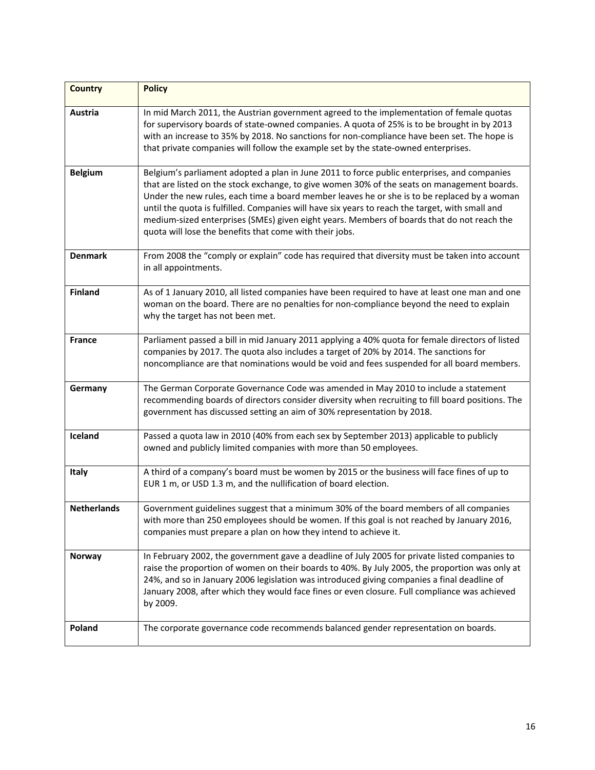| <b>Country</b>     | <b>Policy</b>                                                                                                                                                                                                                                                                                                                                                                                                                                                                                                                                         |
|--------------------|-------------------------------------------------------------------------------------------------------------------------------------------------------------------------------------------------------------------------------------------------------------------------------------------------------------------------------------------------------------------------------------------------------------------------------------------------------------------------------------------------------------------------------------------------------|
| Austria            | In mid March 2011, the Austrian government agreed to the implementation of female quotas<br>for supervisory boards of state-owned companies. A quota of 25% is to be brought in by 2013<br>with an increase to 35% by 2018. No sanctions for non-compliance have been set. The hope is<br>that private companies will follow the example set by the state-owned enterprises.                                                                                                                                                                          |
| <b>Belgium</b>     | Belgium's parliament adopted a plan in June 2011 to force public enterprises, and companies<br>that are listed on the stock exchange, to give women 30% of the seats on management boards.<br>Under the new rules, each time a board member leaves he or she is to be replaced by a woman<br>until the quota is fulfilled. Companies will have six years to reach the target, with small and<br>medium-sized enterprises (SMEs) given eight years. Members of boards that do not reach the<br>quota will lose the benefits that come with their jobs. |
| <b>Denmark</b>     | From 2008 the "comply or explain" code has required that diversity must be taken into account<br>in all appointments.                                                                                                                                                                                                                                                                                                                                                                                                                                 |
| <b>Finland</b>     | As of 1 January 2010, all listed companies have been required to have at least one man and one<br>woman on the board. There are no penalties for non-compliance beyond the need to explain<br>why the target has not been met.                                                                                                                                                                                                                                                                                                                        |
| <b>France</b>      | Parliament passed a bill in mid January 2011 applying a 40% quota for female directors of listed<br>companies by 2017. The quota also includes a target of 20% by 2014. The sanctions for<br>noncompliance are that nominations would be void and fees suspended for all board members.                                                                                                                                                                                                                                                               |
| Germany            | The German Corporate Governance Code was amended in May 2010 to include a statement<br>recommending boards of directors consider diversity when recruiting to fill board positions. The<br>government has discussed setting an aim of 30% representation by 2018.                                                                                                                                                                                                                                                                                     |
| Iceland            | Passed a quota law in 2010 (40% from each sex by September 2013) applicable to publicly<br>owned and publicly limited companies with more than 50 employees.                                                                                                                                                                                                                                                                                                                                                                                          |
| Italy              | A third of a company's board must be women by 2015 or the business will face fines of up to<br>EUR 1 m, or USD 1.3 m, and the nullification of board election.                                                                                                                                                                                                                                                                                                                                                                                        |
| <b>Netherlands</b> | Government guidelines suggest that a minimum 30% of the board members of all companies<br>with more than 250 employees should be women. If this goal is not reached by January 2016,<br>companies must prepare a plan on how they intend to achieve it.                                                                                                                                                                                                                                                                                               |
| Norway             | In February 2002, the government gave a deadline of July 2005 for private listed companies to<br>raise the proportion of women on their boards to 40%. By July 2005, the proportion was only at<br>24%, and so in January 2006 legislation was introduced giving companies a final deadline of<br>January 2008, after which they would face fines or even closure. Full compliance was achieved<br>by 2009.                                                                                                                                           |
| Poland             | The corporate governance code recommends balanced gender representation on boards.                                                                                                                                                                                                                                                                                                                                                                                                                                                                    |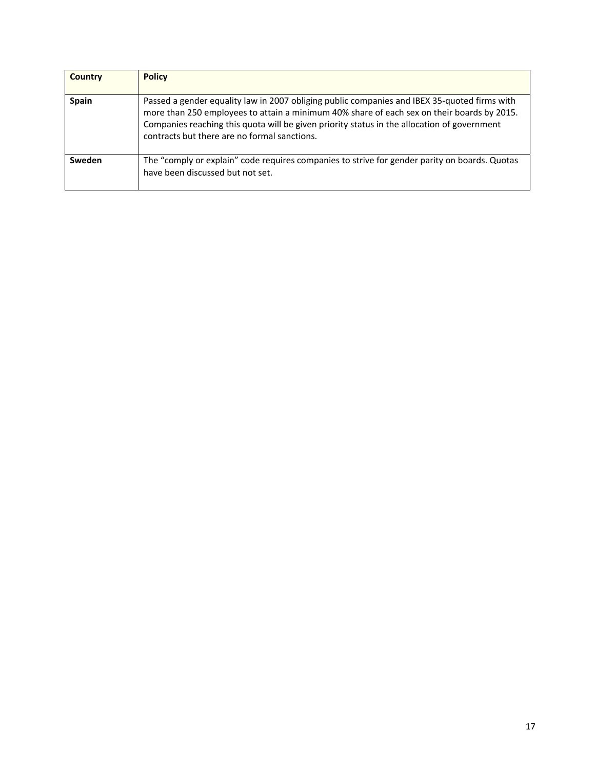| Country      | <b>Policy</b>                                                                                                                                                                                                                                                                                                                             |
|--------------|-------------------------------------------------------------------------------------------------------------------------------------------------------------------------------------------------------------------------------------------------------------------------------------------------------------------------------------------|
| <b>Spain</b> | Passed a gender equality law in 2007 obliging public companies and IBEX 35-quoted firms with<br>more than 250 employees to attain a minimum 40% share of each sex on their boards by 2015.<br>Companies reaching this quota will be given priority status in the allocation of government<br>contracts but there are no formal sanctions. |
| Sweden       | The "comply or explain" code requires companies to strive for gender parity on boards. Quotas<br>have been discussed but not set.                                                                                                                                                                                                         |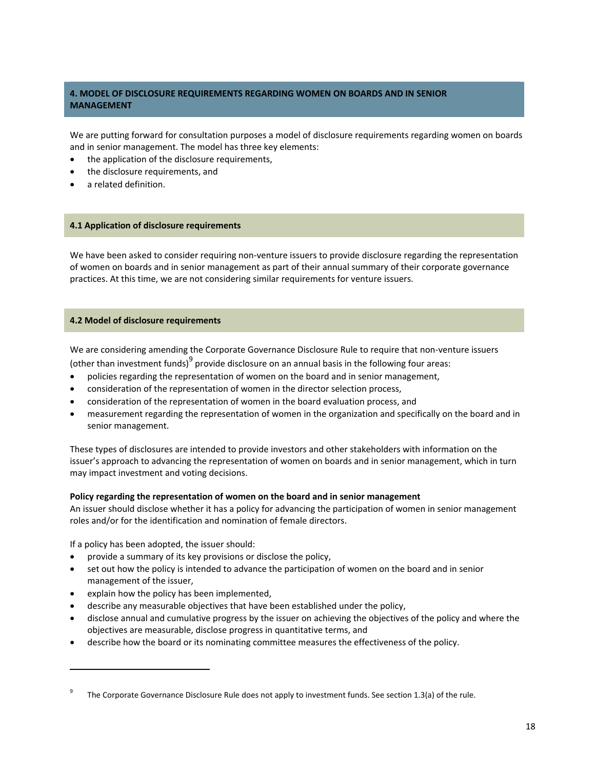# **4. MODEL OF DISCLOSURE REQUIREMENTS REGARDING WOMEN ON BOARDS AND IN SENIOR MANAGEMENT**

We are putting forward for consultation purposes a model of disclosure requirements regarding women on boards and in senior management. The model has three key elements:

- the application of the disclosure requirements,
- the disclosure requirements, and
- a related definition.

#### **4.1 Application of disclosure requirements**

We have been asked to consider requiring non-venture issuers to provide disclosure regarding the representation of women on boards and in senior management as part of their annual summary of their corporate governance practices. At this time, we are not considering similar requirements for venture issuers.

#### **4.2 Model of disclosure requirements**

We are considering amending the Corporate Governance Disclosure Rule to require that non-venture issuers

(other than investment funds) $9^9$  provide disclosure on an annual basis in the following four areas:

- policies regarding the representation of women on the board and in senior management,
- consideration of the representation of women in the director selection process,
- consideration of the representation of women in the board evaluation process, and
- measurement regarding the representation of women in the organization and specifically on the board and in senior management.

These types of disclosures are intended to provide investors and other stakeholders with information on the issuer's approach to advancing the representation of women on boards and in senior management, which in turn may impact investment and voting decisions.

#### **Policy regarding the representation of women on the board and in senior management**

An issuer should disclose whether it has a policy for advancing the participation of women in senior management roles and/or for the identification and nomination of female directors.

If a policy has been adopted, the issuer should:

- provide a summary of its key provisions or disclose the policy,
- set out how the policy is intended to advance the participation of women on the board and in senior management of the issuer,
- explain how the policy has been implemented,

- describe any measurable objectives that have been established under the policy,
- disclose annual and cumulative progress by the issuer on achieving the objectives of the policy and where the objectives are measurable, disclose progress in quantitative terms, and
- describe how the board or its nominating committee measures the effectiveness of the policy.

<sup>9</sup> The Corporate Governance Disclosure Rule does not apply to investment funds. See section 1.3(a) of the rule.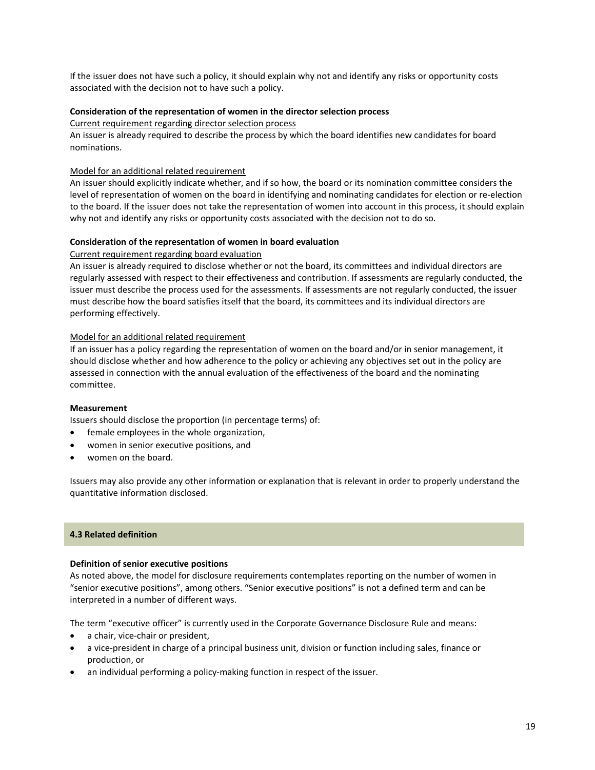If the issuer does not have such a policy, it should explain why not and identify any risks or opportunity costs associated with the decision not to have such a policy.

## **Consideration of the representation of women in the director selection process**

Current requirement regarding director selection process

An issuer is already required to describe the process by which the board identifies new candidates for board nominations.

## Model for an additional related requirement

An issuer should explicitly indicate whether, and if so how, the board or its nomination committee considers the level of representation of women on the board in identifying and nominating candidates for election or re‐election to the board. If the issuer does not take the representation of women into account in this process, it should explain why not and identify any risks or opportunity costs associated with the decision not to do so.

### **Consideration of the representation of women in board evaluation**

### Current requirement regarding board evaluation

An issuer is already required to disclose whether or not the board, its committees and individual directors are regularly assessed with respect to their effectiveness and contribution. If assessments are regularly conducted, the issuer must describe the process used for the assessments. If assessments are not regularly conducted, the issuer must describe how the board satisfies itself that the board, its committees and its individual directors are performing effectively.

## Model for an additional related requirement

If an issuer has a policy regarding the representation of women on the board and/or in senior management, it should disclose whether and how adherence to the policy or achieving any objectives set out in the policy are assessed in connection with the annual evaluation of the effectiveness of the board and the nominating committee.

#### **Measurement**

Issuers should disclose the proportion (in percentage terms) of:

- female employees in the whole organization,
- women in senior executive positions, and
- women on the board.

Issuers may also provide any other information or explanation that is relevant in order to properly understand the quantitative information disclosed.

### **4.3 Related definition**

#### **Definition of senior executive positions**

As noted above, the model for disclosure requirements contemplates reporting on the number of women in "senior executive positions", among others. "Senior executive positions" is not a defined term and can be interpreted in a number of different ways.

The term "executive officer" is currently used in the Corporate Governance Disclosure Rule and means:

- a chair, vice‐chair or president,
- a vice‐president in charge of a principal business unit, division or function including sales, finance or production, or
- an individual performing a policy-making function in respect of the issuer.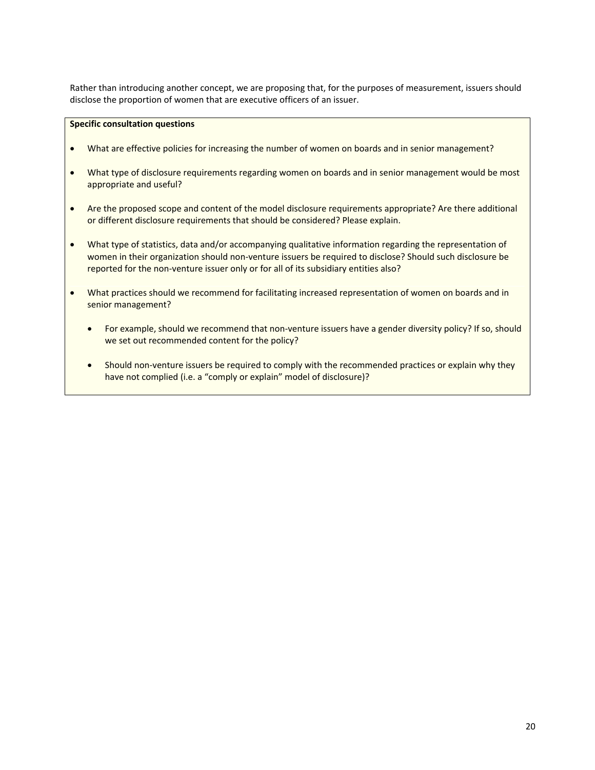Rather than introducing another concept, we are proposing that, for the purposes of measurement, issuers should disclose the proportion of women that are executive officers of an issuer.

## **Specific consultation questions**

- What are effective policies for increasing the number of women on boards and in senior management?
- What type of disclosure requirements regarding women on boards and in senior management would be most appropriate and useful?
- Are the proposed scope and content of the model disclosure requirements appropriate? Are there additional or different disclosure requirements that should be considered? Please explain.
- What type of statistics, data and/or accompanying qualitative information regarding the representation of women in their organization should non-venture issuers be required to disclose? Should such disclosure be reported for the non-venture issuer only or for all of its subsidiary entities also?
- What practices should we recommend for facilitating increased representation of women on boards and in senior management?
	- For example, should we recommend that non-venture issuers have a gender diversity policy? If so, should we set out recommended content for the policy?
	- Should non-venture issuers be required to comply with the recommended practices or explain why they have not complied (i.e. a "comply or explain" model of disclosure)?